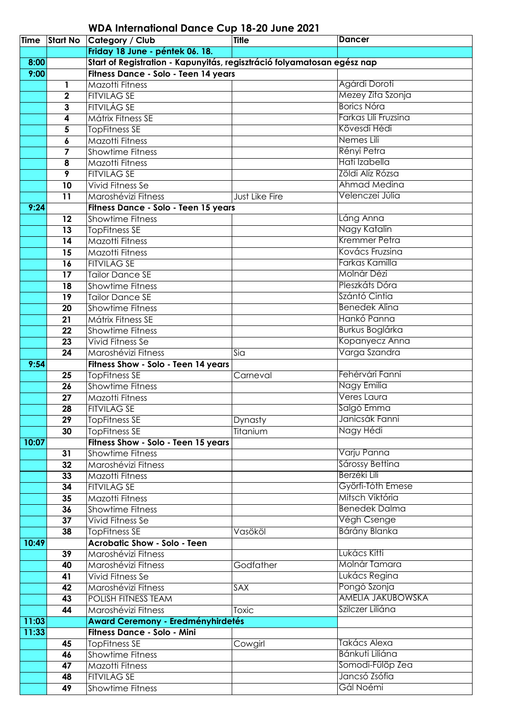| Time  | <b>Start No</b> | Category / Club                                                         | <b>Title</b>   | <b>Dancer</b>            |
|-------|-----------------|-------------------------------------------------------------------------|----------------|--------------------------|
|       |                 | Friday 18 June - péntek 06. 18.                                         |                |                          |
| 8:00  |                 | Start of Registration - Kapunyitás, regisztráció folyamatosan egész nap |                |                          |
| 9:00  |                 | Fitness Dance - Solo - Teen 14 years                                    |                |                          |
|       | 1               | Mazotti Fitness                                                         |                | Agárdi Doroti            |
|       | $\mathbf 2$     | <b>FITVILÁG SE</b>                                                      |                | Mezey Zita Szonja        |
|       | 3               | <b>FITVILÁG SE</b>                                                      |                | <b>Borics Nóra</b>       |
|       | 4               | <b>Mátrix Fitness SE</b>                                                |                | Farkas Lili Fruzsina     |
|       | 5               | <b>TopFitness SE</b>                                                    |                | Kövesdi Hédi             |
|       | 6               | Mazotti Fitness                                                         |                | Nemes Lili               |
|       | 7               | <b>Showtime Fitness</b>                                                 |                | Rényi Petra              |
|       | 8               | Mazotti Fitness                                                         |                | Hati Izabella            |
|       | 9               | <b>FITVILÁG SE</b>                                                      |                | Zöldi Alíz Rózsa         |
|       | 10              | <b>Vivid Fitness Se</b>                                                 |                | Ahmad Medina             |
|       | 11              | Maroshévizi Fitness                                                     | Just Like Fire | Velenczei Júlia          |
| 9:24  |                 | Fitness Dance - Solo - Teen 15 years                                    |                |                          |
|       | 12              | <b>Showtime Fitness</b>                                                 |                | Láng Anna                |
|       | 13              | <b>TopFitness SE</b>                                                    |                | Nagy Katalin             |
|       | 14              | <b>Mazotti Fitness</b>                                                  |                | Kremmer Petra            |
|       | 15              | Mazotti Fitness                                                         |                | Kovács Fruzsina          |
|       | 16              | <b>FITVILÁG SE</b>                                                      |                | Farkas Kamilla           |
|       | 17              | <b>Tailor Dance SE</b>                                                  |                | Molnár Dézi              |
|       | 18              | <b>Showtime Fitness</b>                                                 |                | Pleszkáts Dóra           |
|       | 19              | <b>Tailor Dance SE</b>                                                  |                | Szántó Cintia            |
|       | 20              | <b>Showtime Fitness</b>                                                 |                | <b>Benedek Alina</b>     |
|       | 21              | Mátrix Fitness SE                                                       |                | Hankó Panna              |
|       | 22              | <b>Showtime Fitness</b>                                                 |                | <b>Burkus Boglárka</b>   |
|       | 23              | <b>Vivid Fitness Se</b>                                                 |                | Kopanyecz Anna           |
|       | 24              | Maroshévizi Fitness                                                     | Sia            | Varga Szandra            |
| 9:54  |                 | Fitness Show - Solo - Teen 14 years                                     |                |                          |
|       | 25              | <b>TopFitness SE</b>                                                    | Carneval       | Fehérvári Fanni          |
|       | 26              | <b>Showtime Fitness</b>                                                 |                | Nagy Emília              |
|       | $\overline{27}$ | <b>Mazotti Fitness</b>                                                  |                | Veres Laura              |
|       | 28              | <b>FITVILÁG SE</b>                                                      |                | Salgó Emma               |
|       | 29              | <b>TopFitness SE</b>                                                    | Dynasty        | Janicsák Fanni           |
|       | 30              | <b>TopFitness SE</b>                                                    | Titanium       | Nagy Hédi                |
| 10:07 |                 | Fitness Show - Solo - Teen 15 years                                     |                |                          |
|       | 31              | <b>Showtime Fitness</b>                                                 |                | Varju Panna              |
|       | 32              | Maroshévizi Fitness                                                     |                | Sárossy Bettina          |
|       | 33              | Mazotti Fitness                                                         |                | Berzéki Lili             |
|       | 34              | <b>FITVILÁG SE</b>                                                      |                | Györfi-Tóth Emese        |
|       | 35              | Mazotti Fitness                                                         |                | Mitsch Viktória          |
|       | 36              | Showtime Fifness                                                        |                | <b>Benedek Dalma</b>     |
|       | 37              | <b>Vivid Fitness Se</b>                                                 |                | Végh Csenge              |
|       | 38              | <b>TopFitness SE</b>                                                    | Vasököl        | Bárány Blanka            |
| 10:49 |                 | <b>Acrobatic Show - Solo - Teen</b>                                     |                |                          |
|       | 39              | Maroshévizi Fitness                                                     |                | Lukács Kitti             |
|       | 40              | Maroshévizi Fitness                                                     | Godfather      | Molnár Tamara            |
|       | 41              | Vivid Fitness Se                                                        |                | Lukács Regina            |
|       | 42              | Maroshévizi Fitness                                                     | SAX            | Pongó Szonja             |
|       | 43              | POLISH FITNESS TEAM                                                     |                | <b>AMELIA JAKUBOWSKA</b> |
|       | 44              | Maroshévizi Fitness                                                     | <b>Toxic</b>   | Szilczer Liliána         |
| 11:03 |                 | <b>Award Ceremony - Eredményhirdetés</b>                                |                |                          |
| 11:33 |                 | Fitness Dance - Solo - Mini                                             |                |                          |
|       | 45              | <b>TopFitness SE</b>                                                    | Cowgirl        | Takács Alexa             |
|       | 46              | <b>Showtime Fitness</b>                                                 |                | Bánkuti Liliána          |
|       | 47              | Mazotti Fitness                                                         |                | Somodi-Fülöp Zea         |
|       | 48              | <b>FITVILÁG SE</b>                                                      |                | Jancsó Zsófia            |
|       | 49              | Showtime Fitness                                                        |                | Gál Noémi                |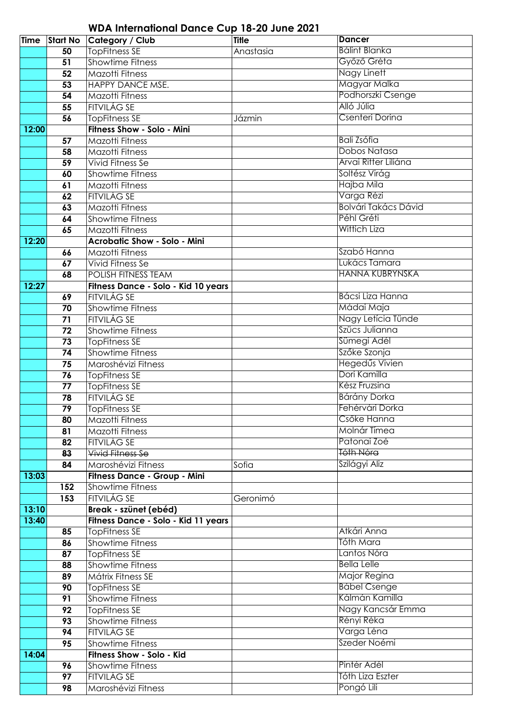| <b>Time</b> | <b>Start No</b>       | <b>Category / Club</b>                     | <b>Title</b> | <b>Dancer</b>               |
|-------------|-----------------------|--------------------------------------------|--------------|-----------------------------|
|             | 50                    | TopFitness SE                              | Anastasia    | <b>Bálint Blanka</b>        |
|             | 51                    | <b>Showtime Fitness</b>                    |              | Győző Gréta                 |
|             |                       | <b>Mazotti Fitness</b>                     |              | Nagy Linett                 |
|             | 52                    |                                            |              | Magyar Malka                |
|             | 53                    | HAPPY DANCE MSE.                           |              | Podhorszki Csenge           |
|             | 54                    | Mazotti Fitness                            |              |                             |
|             | 55                    | <b>FITVILÁG SE</b>                         |              | Alló Júlia                  |
|             | 56                    | <b>TopFitness SE</b>                       | Jázmin       | Csenteri Dorina             |
| 12:00       |                       | Fitness Show - Solo - Mini                 |              |                             |
|             | 57                    | <b>Mazotti Fitness</b>                     |              | <b>Bali Zsófia</b>          |
|             | 58                    | <b>Mazotti Fitness</b>                     |              | Dobos Natasa                |
|             | 59                    | Vivid Fitness Se                           |              | Árvai Ritter Liliána        |
|             | 60                    | <b>Showtime Fitness</b>                    |              | Soltész Virág               |
|             | 61                    | <b>Mazotti Fitness</b>                     |              | Hajba Mila                  |
|             | 62                    | <b>FITVILÁG SE</b>                         |              | Varga Rézi                  |
|             | 63                    | <b>Mazotti Fitness</b>                     |              | <b>Bolvári Takács Dávid</b> |
|             | 64                    | <b>Showtime Fitness</b>                    |              | Péhl Gréti                  |
|             | 65                    | <b>Mazotti Fitness</b>                     |              | <b>Wittich Liza</b>         |
| 12:20       |                       | <b>Acrobatic Show - Solo - Mini</b>        |              |                             |
|             | 66                    | Mazotti Fitness                            |              | Szabó Hanna                 |
|             | 67                    | Vivid Fitness Se                           |              | Lukács Tamara               |
|             | 68                    | POLISH FITNESS TEAM                        |              | <b>HANNA KUBRYNSKA</b>      |
| 12:27       |                       | Fitness Dance - Solo - Kid 10 years        |              |                             |
|             | 69                    | <b>FITVILÁG SE</b>                         |              | Bácsi Liza Hanna            |
|             | $\overline{70}$       | <b>Showtime Fitness</b>                    |              | Mádai Maja                  |
|             | 71                    | <b>FITVILÁG SE</b>                         |              | Nagy Letícia Tünde          |
|             | 72                    | <b>Showtime Fitness</b>                    |              | Szücs Julianna              |
|             | $\overline{73}$       | <b>TopFitness SE</b>                       |              | Sümegi Adél                 |
|             | 74                    | <b>Showtime Fitness</b>                    |              | Szőke Szonja                |
|             | 75                    | Maroshévizi Fitness                        |              | Hegedűs Vivien              |
|             | 76                    |                                            |              | Dori Kamilla                |
|             |                       | <b>TopFitness SE</b>                       |              | Kész Fruzsina               |
|             | 77<br>$\overline{78}$ | <b>TopFitness SE</b><br><b>FITVILÁG SE</b> |              | Bárány Dorka                |
|             |                       |                                            |              | Fehérvári Dorka             |
|             | $\overline{79}$       | <b>TopFitness SE</b>                       |              | Csőke Hanna                 |
|             | 80                    | Mazotti Fitness                            |              |                             |
|             | 81                    | Mazotti Fitness                            |              | Molnár Tímea                |
|             | 82                    | <b>FITVILÁG SE</b>                         |              | Patonai Zoé                 |
|             | 83                    | <b>Vivid Fitness Se</b>                    |              | Tóth Nóra                   |
|             | 84                    | Maroshévizi Fitness                        | Sofia        | Szilágyi Aliz               |
| 13:03       |                       | Fitness Dance - Group - Mini               |              |                             |
|             | 152                   | <b>Showtime Fitness</b>                    |              |                             |
|             | 153                   | FITVILÁG SE                                | Geronimó     |                             |
| 13:10       |                       | Break - szünet (ebéd)                      |              |                             |
| 13:40       |                       | Fitness Dance - Solo - Kid 11 years        |              |                             |
|             | 85                    | <b>TopFitness SE</b>                       |              | Atkári Anna                 |
|             | 86                    | <b>Showtime Fitness</b>                    |              | Tóth Mara                   |
|             | 87                    | <b>TopFitness SE</b>                       |              | Lantos Nóra                 |
|             | 88                    | <b>Showtime Fitness</b>                    |              | <b>Bella Lelle</b>          |
|             | 89                    | Mátrix Fitness SE                          |              | Major Regina                |
|             | 90                    | <b>TopFitness SE</b>                       |              | <b>Bábel Csenge</b>         |
|             | 91                    | <b>Showtime Fitness</b>                    |              | Kálmán Kamilla              |
|             | 92                    | <b>TopFitness SE</b>                       |              | Nagy Kancsár Emma           |
|             | 93                    | <b>Showtime Fitness</b>                    |              | Rényi Réka                  |
|             | 94                    | <b>FITVILÁG SE</b>                         |              | Varga Léna                  |
|             | 95                    | <b>Showtime Fitness</b>                    |              | Szeder Noémi                |
| 14:04       |                       | Fitness Show - Solo - Kid                  |              |                             |
|             | 96                    | <b>Showtime Fitness</b>                    |              | Pintér Adél                 |
|             | 97                    | <b>FITVILÁG SE</b>                         |              | Tóth Liza Eszter            |
|             | 98                    | Maroshévizi Fitness                        |              | Pongó Lili                  |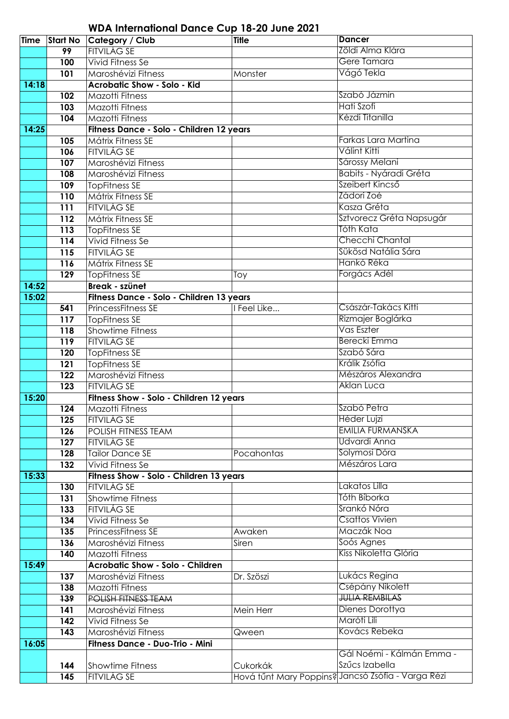| <b>Time</b> |                  | <b>Start No Category / Club</b>          | <b>Title</b> | <b>Dancer</b>                                      |
|-------------|------------------|------------------------------------------|--------------|----------------------------------------------------|
|             | 99               | <b>FITVILÁG SE</b>                       |              | Zöldi Alma Klára                                   |
|             | 100              | <b>Vivid Fitness Se</b>                  |              | Gere Tamara                                        |
|             | 101              | Maroshévizi Fitness                      | Monster      | Vágó Tekla                                         |
| 14:18       |                  | <b>Acrobatic Show - Solo - Kid</b>       |              |                                                    |
|             | 102              | Mazotti Fitness                          |              | Szabó Jázmin                                       |
|             | 103              | <b>Mazotti Fitness</b>                   |              | Hati Szofi                                         |
|             | 104              | <b>Mazotti Fitness</b>                   |              | Kézdi Titanilla                                    |
| 14:25       |                  | Fitness Dance - Solo - Children 12 years |              |                                                    |
|             | 105              | Mátrix Fitness SE                        |              | Farkas Lara Martina                                |
|             | 106              | <b>FITVILÁG SE</b>                       |              | Válint Kitti                                       |
|             | 107              | Maroshévizi Fitness                      |              | Sárossy Melani                                     |
|             | 108              | Maroshévizi Fitness                      |              | <b>Babits - Nyáradi Gréta</b>                      |
|             | 109              | <b>TopFitness SE</b>                     |              | Szeibert Kincső                                    |
|             | 110              | Mátrix Fitness SE                        |              | Zádori Zoé                                         |
|             | 111              | <b>FITVILÁG SE</b>                       |              | Kasza Gréta                                        |
|             | $\overline{112}$ | Mátrix Fitness SE                        |              | Sztvorecz Gréta Napsugár                           |
|             | 113              | <b>TopFitness SE</b>                     |              | Tóth Kata                                          |
|             | 114              | <b>Vivid Fitness Se</b>                  |              | Checchi Chantal                                    |
|             | 115              | <b>FITVILÁG SE</b>                       |              | Sükösd Natália Sára                                |
|             | 116              | Mátrix Fitness SE                        |              | Hankó Réka                                         |
|             | 129              | <b>TopFitness SE</b>                     | Toy          | Forgács Adél                                       |
| 14:52       |                  | Break - szünet                           |              |                                                    |
| 15:02       |                  | Fitness Dance - Solo - Children 13 years |              |                                                    |
|             | 541              | <b>PrincessFitness SE</b>                | I Feel Like  | Császár-Takács Kitti                               |
|             | 117              | <b>TopFitness SE</b>                     |              | Rizmajer Boglárka                                  |
|             | 118              | <b>Showtime Fitness</b>                  |              | Vas Eszter                                         |
|             | 119              | <b>FITVILÁG SE</b>                       |              | <b>Berecki Emma</b>                                |
|             | 120              | <b>TopFitness SE</b>                     |              | Szabó Sára                                         |
|             | 121              | <b>TopFitness SE</b>                     |              | Králik Zsófia                                      |
|             | 122              | Maroshévizi Fitness                      |              | Mészáros Alexandra                                 |
|             | 123              | FITVILÁG SE                              |              | Aklan Luca                                         |
| 15:20       |                  | Fitness Show - Solo - Children 12 years  |              |                                                    |
|             | 124              | Mazotti Fitness                          |              | Szabó Petra                                        |
|             | 125              | FITVILÁG SE                              |              | <b>Héder Lujzi</b>                                 |
|             | 126              | <b>POLISH FITNESS TEAM</b>               |              | <b>EMILIA FURMANSKA</b>                            |
|             | 127              | FITVILÁG SE                              |              | Udvardi Anna                                       |
|             | 128              | <b>Tailor Dance SE</b>                   | Pocahontas   | Solymosi Dóra                                      |
|             | 132              | Vivid Fitness Se                         |              | Mészáros Lara                                      |
| 15:33       |                  | Fitness Show - Solo - Children 13 years  |              |                                                    |
|             | 130              | FITVILÁG SE                              |              | Lakatos Lilla                                      |
|             | 131              | <b>Showtime Fitness</b>                  |              | Tóth Bíborka                                       |
|             | 133              | FITVILÁG SE                              |              | Srankó Nóra                                        |
|             | 134              | <b>Vivid Fitness Se</b>                  |              | <b>Csattos Vivien</b>                              |
|             | 135              | <b>PrincessFitness SE</b>                | Awaken       | Maczák Noa                                         |
|             | 136              | Maroshévizi Fitness                      | Siren        | Soós Agnes                                         |
|             | 140              | Mazotti Fitness                          |              | Kiss Nikoletta Glória                              |
| 15:49       |                  | <b>Acrobatic Show - Solo - Children</b>  |              |                                                    |
|             | 137              | Maroshévizi Fitness                      | Dr. Szöszi   | Lukács Regina                                      |
|             | 138              | Mazotti Fitness                          |              | Csépány Nikolett                                   |
|             | 139              | POLISH FITNESS TEAM                      |              | <b>JULIA REMBILAS</b>                              |
|             | 141              | Maroshévizi Fitness                      | Mein Herr    | Dienes Dorottya                                    |
|             | 142              | <b>Vivid Fitness Se</b>                  |              | Maróti Lili                                        |
|             | 143              | Maroshévizi Fitness                      | Qween        | Kovács Rebeka                                      |
| 16:05       |                  | Fitness Dance - Duo-Trio - Mini          |              |                                                    |
|             |                  |                                          |              | Gál Noémi - Kálmán Emma -                          |
|             | 144              | <b>Showtime Fitness</b>                  | Cukorkák     | Szűcs Izabella                                     |
|             | 145              | <b>FITVILÁG SE</b>                       |              | Hová tűnt Mary Poppins? Jancsó Zsófia - Varga Rézi |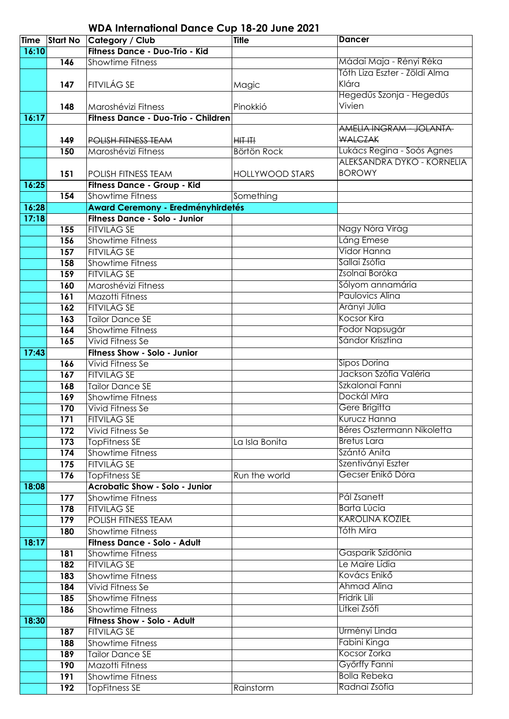| Time  |                  | Start No Category / Club                 | <b>Title</b>           | <b>Dancer</b>                 |
|-------|------------------|------------------------------------------|------------------------|-------------------------------|
| 16:10 |                  | Fitness Dance - Duo-Trio - Kid           |                        |                               |
|       | 146              | <b>Showtime Fitness</b>                  |                        | Mádai Maja - Rényi Réka       |
|       |                  |                                          |                        | Tóth Liza Eszter - Zöldi Alma |
|       | 147              | <b>FITVILÁG SE</b>                       | Magic                  | Klára                         |
|       |                  |                                          |                        | Hegedűs Szonja - Hegedűs      |
|       | 148              | Maroshévizi Fitness                      | Pinokkió               | Vivien                        |
| 16:17 |                  | Fitness Dance - Duo-Trio - Children      |                        |                               |
|       |                  |                                          |                        | AMELIA INGRAM - JOLANTA-      |
|       | 149              | POLISH FITNESS TEAM                      | $HIT+TI$               | <b>WALCZAK</b>                |
|       | 150              | Maroshévizi Fitness                      | <b>Börtön Rock</b>     | Lukács Regina - Soós Agnes    |
|       |                  |                                          |                        | ALEKSANDRA DYKO - KORNELIA    |
|       | 151              | POLISH FITNESS TEAM                      | <b>HOLLYWOOD STARS</b> | <b>BOROWY</b>                 |
| 16:25 |                  | Fitness Dance - Group - Kid              |                        |                               |
|       | 154              | <b>Showtime Fitness</b>                  |                        |                               |
|       |                  |                                          | Something              |                               |
| 16:28 |                  | <b>Award Ceremony - Eredményhirdetés</b> |                        |                               |
| 17:18 |                  | Fitness Dance - Solo - Junior            |                        |                               |
|       | 155              | <b>FITVILÁG SE</b>                       |                        | Nagy Nóra Virág               |
|       | 156              | <b>Showtime Fitness</b>                  |                        | Láng Emese                    |
|       | 157              | <b>FITVILÁG SE</b>                       |                        | Vidor Hanna                   |
|       | 158              | <b>Showtime Fitness</b>                  |                        | Sallai Zsófia                 |
|       | 159              | <b>FITVILÁG SE</b>                       |                        | Zsolnai Boróka                |
|       | 160              | Maroshévizi Fitness                      |                        | Sólyom annamária              |
|       | $\overline{161}$ | <b>Mazotti Fitness</b>                   |                        | <b>Paulovics Alina</b>        |
|       | 162              | <b>FITVILÁG SE</b>                       |                        | Arányi Júlia                  |
|       | 163              | <b>Tailor Dance SE</b>                   |                        | <b>Kocsor Kira</b>            |
|       | 164              | <b>Showtime Fitness</b>                  |                        | Fodor Napsugár                |
|       | 165              | Vivid Fitness Se                         |                        | Sándor Krisztina              |
| 17:43 |                  | Fitness Show - Solo - Junior             |                        |                               |
|       | 166              | Vivid Fitness Se                         |                        | <b>Sipos Dorina</b>           |
|       | $\overline{167}$ | <b>FITVILÁG SE</b>                       |                        | Jackson Szófia Valéria        |
|       | 168              | <b>Tailor Dance SE</b>                   |                        | Szkalonai Fanni               |
|       | 169              | <b>Showtime Fitness</b>                  |                        | Dockál Míra                   |
|       | 170              | Vivid Fitness Se                         |                        | Gere Brigitta                 |
|       | 171              | <b>FITVILÁG SE</b>                       |                        | Kurucz Hanna                  |
|       | 172              | Vivid Fitness Se                         |                        | Béres Osztermann Nikoletta    |
|       | 173              | <b>TopFitness SE</b>                     | La Isla Bonita         | <b>Bretus Lara</b>            |
|       | 174              | <b>Showtime Fitness</b>                  |                        | Szántó Anita                  |
|       | 175              | <b>FITVILÁG SE</b>                       |                        | Szentiványi Eszter            |
|       | 176              | <b>TopFitness SE</b>                     | Run the world          | Gecser Enikő Dóra             |
| 18:08 |                  | <b>Acrobatic Show - Solo - Junior</b>    |                        |                               |
|       | 177              | <b>Showtime Fitness</b>                  |                        | Pál Zsanett                   |
|       | 178              | <b>FITVILÁG SE</b>                       |                        | Barta Lúcia                   |
|       | 179              | <b>POLISH FITNESS TEAM</b>               |                        | <b>KAROLINA KOZIEŁ</b>        |
|       | 180              | <b>Showtime Fitness</b>                  |                        | Tóth Míra                     |
| 18:17 |                  | Fitness Dance - Solo - Adult             |                        |                               |
|       | 181              | <b>Showtime Fitness</b>                  |                        | Gasparik Szidónia             |
|       | 182              | <b>FITVILÁG SE</b>                       |                        | Le Maire Lídia                |
|       | 183              | <b>Showtime Fitness</b>                  |                        | Kovács Enikő                  |
|       | 184              | Vivid Fitness Se                         |                        | Ahmad Alina                   |
|       | 185              | <b>Showtime Fitness</b>                  |                        | Fridrik Lili                  |
|       | 186              | <b>Showtime Fitness</b>                  |                        | Litkei Zsófi                  |
| 18:30 |                  | Fitness Show - Solo - Adult              |                        |                               |
|       | 187              | <b>FITVILÁG SE</b>                       |                        | Ürményi Linda                 |
|       | 188              | <b>Showtime Fitness</b>                  |                        | Fabini Kinga                  |
|       |                  | <b>Tailor Dance SE</b>                   |                        | Kocsor Zorka                  |
|       | 189              | Mazotti Fitness                          |                        | Győrffy Fanni                 |
|       | 190              |                                          |                        | <b>Bolla Rebeka</b>           |
|       | 191              | <b>Showtime Fitness</b>                  |                        | Radnai Zsófia                 |
|       | 192              | <b>TopFitness SE</b>                     | Rainstorm              |                               |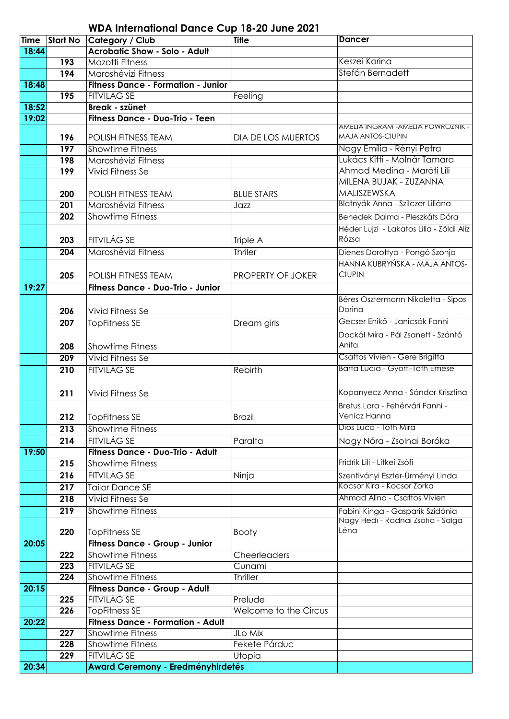| <b>Time</b> | <b>Start No</b> | Category / Club                           | <b>Title</b>          | <b>Dancer</b>                                                  |
|-------------|-----------------|-------------------------------------------|-----------------------|----------------------------------------------------------------|
| 18:44       |                 | <b>Acrobatic Show - Solo - Adult</b>      |                       |                                                                |
|             | 193             | Mazotti Fitness                           |                       | Keszei Korina                                                  |
|             | 194             | Maroshévizi Fitness                       |                       | Stefán Bernadett                                               |
| 18:48       |                 | <b>Fitness Dance - Formation - Junior</b> |                       |                                                                |
|             | 195             | <b>FITVILÁG SE</b>                        | Feeling               |                                                                |
| 18:52       |                 | Break - szünet                            |                       |                                                                |
| 19:02       |                 | Fitness Dance - Duo-Trio - Teen           |                       |                                                                |
|             | 196             | POLISH FITNESS TEAM                       | DIA DE LOS MUERTOS    | AMELIA INGRAM - AMELIA POWROZNIK -<br><b>MAJA ANTOS-CIUPIN</b> |
|             | 197             | <b>Showtime Fitness</b>                   |                       | Nagy Emília - Rényi Petra                                      |
|             | 198             | Maroshévizi Fitness                       |                       | Lukács Kitti - Molnár Tamara                                   |
|             | 199             | Vivid Fitness Se                          |                       | Ahmad Medina - Maróti Lili                                     |
|             |                 |                                           |                       | MILENA BUJAK - ZUZANNA                                         |
|             | 200             | <b>POLISH FITNESS TEAM</b>                | <b>BLUE STARS</b>     | MALISZEWSKA                                                    |
|             | 201             | Maroshévizi Fitness                       | Jazz                  | Blatnyák Anna - Szilczer Liliána                               |
|             | 202             | <b>Showtime Fitness</b>                   |                       | Benedek Dalma - Pleszkáts Dóra                                 |
|             |                 |                                           |                       | Héder Lujzi - Lakatos Lilla - Zöldi Alíz                       |
|             | 203             | <b>FITVILÁG SE</b>                        | Triple A              | Rózsa                                                          |
|             | 204             | Maroshévizi Fitness                       | Thriler               | Dienes Dorottya - Pongó Szonja                                 |
|             |                 |                                           |                       | HANNA KUBRYŃSKA - MAJA ANTOS-                                  |
|             | 205             | POLISH FITNESS TEAM                       | PROPERTY OF JOKER     | <b>CIUPIN</b>                                                  |
| 19:27       |                 | Fitness Dance - Duo-Trio - Junior         |                       |                                                                |
|             |                 |                                           |                       | Béres Osztermann Nikoletta - Sipos                             |
|             | 206             | Vivid Fitness Se                          |                       | Dorina                                                         |
|             | 207             | <b>TopFitness SE</b>                      | Dream girls           | Gecser Enikő - Janicsák Fanni                                  |
|             |                 |                                           |                       | Dockál Míra - Pál Zsanett - Szántó                             |
|             | 208             | <b>Showtime Fitness</b>                   |                       | Anita                                                          |
|             | 209             | <b>Vivid Fitness Se</b>                   |                       | Csattos Vivien - Gere Brigitta                                 |
|             | 210             | <b>FITVILÁG SE</b>                        | Rebirth               | Barta Lúcia - Györfi-Tóth Emese                                |
|             |                 |                                           |                       |                                                                |
|             | 211             | Vivid Fitness Se                          |                       | Kopanyecz Anna - Sándor Krisztina                              |
|             |                 |                                           |                       | Bretus Lara - Fehérvári Fanni -                                |
|             | 212             | TopFitness SE                             | <b>Brazil</b>         | Venicz Hanna                                                   |
|             | 213             | <b>Showtime Fitness</b>                   |                       | Diós Luca - Tóth Míra                                          |
|             | 214             | <b>FITVILÁG SE</b>                        | Paralta               | Nagy Nóra - Zsolnai Boróka                                     |
| 19:50       |                 | Fitness Dance - Duo-Trio - Adult          |                       |                                                                |
|             | 215             | <b>Showtime Fitness</b>                   |                       | Fridrik Lili - Litkei Zsófi                                    |
|             | 216             | <b>FITVILÁG SE</b>                        | Ninja                 | Szentiványi Eszter-Ürményi Linda                               |
|             | 217             | <b>Tailor Dance SE</b>                    |                       | Kocsor Kira - Kocsor Zorka                                     |
|             | 218             | Vivid Fitness Se                          |                       | Ahmad Alina - Csattos Vivien                                   |
|             | 219             | <b>Showtime Fitness</b>                   |                       | Fabini Kinga - Gasparik Szidónia                               |
|             |                 |                                           |                       | Nagy Hedi - Radnai Zsofia - Salga                              |
|             | 220             | <b>TopFitness SE</b>                      | <b>Booty</b>          | Léna                                                           |
| 20:05       |                 | Fitness Dance - Group - Junior            |                       |                                                                |
|             | 222             | <b>Showtime Fitness</b>                   | Cheerleaders          |                                                                |
|             | 223             | FITVILÁG SE                               | Cunami                |                                                                |
|             | 224             | Showtime Fitness                          | <b>Thriller</b>       |                                                                |
| 20:15       |                 | Fitness Dance - Group - Adult             |                       |                                                                |
|             | 225             | <b>FITVILÁG SE</b>                        | Prelude               |                                                                |
|             | 226             | <b>TopFitness SE</b>                      | Welcome to the Circus |                                                                |
| 20:22       |                 | <b>Fitness Dance - Formation - Adult</b>  |                       |                                                                |
|             | 227             | <b>Showtime Fitness</b>                   | JLo Mix               |                                                                |
|             | 228             | <b>Showtime Fitness</b>                   | Fekete Párduc         |                                                                |
|             | 229             | FITVILÁG SE                               | Utopia                |                                                                |
| 20:34       |                 | <b>Award Ceremony - Eredményhirdetés</b>  |                       |                                                                |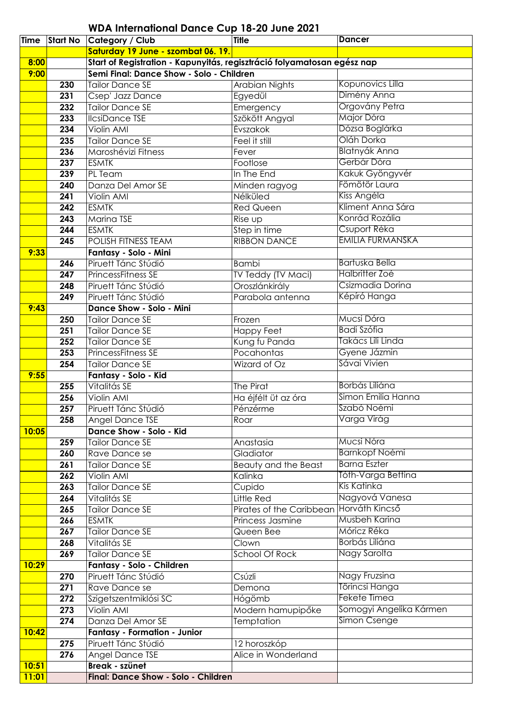| <b>Time</b> |                  | <b>Start No Category / Club</b>                                         | Title                                   | <b>Dancer</b>           |
|-------------|------------------|-------------------------------------------------------------------------|-----------------------------------------|-------------------------|
|             |                  | Saturday 19 June - szombat 06. 19.                                      |                                         |                         |
| 8:00        |                  | Start of Registration - Kapunyitás, regisztráció folyamatosan egész nap |                                         |                         |
| 9:00        |                  | Semi Final: Dance Show - Solo - Children                                |                                         |                         |
|             | 230              | <b>Tailor Dance SE</b>                                                  | <b>Arabian Nights</b>                   | Kopunovics Lilla        |
|             | 231              | Csep' Jazz Dance                                                        | Egyedül                                 | Dimény Anna             |
|             | 232              | <b>Tailor Dance SE</b>                                                  | Emergency                               | Orgovány Petra          |
|             | 233              | <b>IlcsiDance TSE</b>                                                   | Szökött Angyal                          | Major Dóra              |
|             | 234              | Violin AMI                                                              | <b>Évszakok</b>                         | Dózsa Boglárka          |
|             | 235              | <b>Tailor Dance SE</b>                                                  | Feel it still                           | Oláh Dorka              |
|             | 236              | Maroshévizi Fitness                                                     | Fever                                   | <b>Blatnyák Anna</b>    |
|             | 237              | <b>ESMTK</b>                                                            | Footlose                                | Gerbár Dóra             |
|             | 239              | PL Team                                                                 | In The End                              | Kakuk Gyöngyvér         |
|             | 240              | Danza Del Amor SE                                                       | Minden ragyog                           | Fömötör Laura           |
|             | 241              | Violin AMI                                                              | Nélküled                                | Kiss Angéla             |
|             | 242              | <b>ESMTK</b>                                                            | <b>Red Queen</b>                        | Kliment Anna Sára       |
|             | 243              | Marina TSE                                                              | Rise up                                 | Konrád Rozália          |
|             | 244              | <b>ESMTK</b>                                                            | Step in time                            | Csuport Réka            |
|             | 245              | <b>POLISH FITNESS TEAM</b>                                              | <b>RIBBON DANCE</b>                     | <b>EMILIA FURMANSKA</b> |
| 9:33        |                  | Fantasy - Solo - Mini                                                   |                                         |                         |
|             | 246              | Piruett Tánc Stúdió                                                     | <b>Bambi</b>                            | <b>Bartuska Bella</b>   |
|             | 247              | <b>PrincessFitness SE</b>                                               | TV Teddy (TV Maci)                      | Halbritter Zoé          |
|             | 248              | Piruett Tánc Stúdió                                                     | Oroszlánkirály                          | Csizmadia Dorina        |
|             | 249              | Piruett Tánc Stúdió                                                     | Parabola antenna                        | Képíró Hanga            |
| 9:43        |                  | Dance Show - Solo - Mini                                                |                                         |                         |
|             | 250              | <b>Tailor Dance SE</b>                                                  | Frozen                                  | Mucsi Dóra              |
|             | 251              | <b>Tailor Dance SE</b>                                                  | <b>Happy Feet</b>                       | <b>Badi Szófia</b>      |
|             | 252              | <b>Tailor Dance SE</b>                                                  | Kung fu Panda                           | Takács Lili Linda       |
|             | 253              | PrincessFitness SE                                                      | Pocahontas                              | Gyene Jázmin            |
|             | 254              | <b>Tailor Dance SE</b>                                                  | Wizard of Oz                            | Sávai Vivien            |
| 9:55        |                  | Fantasy - Solo - Kid                                                    |                                         |                         |
|             | 255              | Vitalitás SE                                                            | The Pirat                               | Borbás Liliána          |
|             | 256              | Violin AMI                                                              | Ha éjfélt üt az óra                     | Simon Emilia Hanna      |
|             | 257              | Piruett Tánc Stúdió                                                     | Pénzérme                                | Szabó Noémi             |
|             | 258              | Angel Dance TSE                                                         | Roar                                    | Varga Virág             |
| 10:05       |                  | Dance Show - Solo - Kid                                                 |                                         |                         |
|             | 259              | <b>Tailor Dance SE</b>                                                  | Anastasia                               | Mucsi Nóra              |
|             | 260              | Rave Dance se                                                           | Gladiator                               | <b>Barnkopf Noémi</b>   |
|             | 261              | <b>Tailor Dance SE</b>                                                  | Beauty and the Beast                    | <b>Barna Eszter</b>     |
|             | 262              | Violin AMI                                                              | Kalinka                                 | Tóth-Varga Bettina      |
|             | 263              | <b>Tailor Dance SE</b>                                                  | Cupido                                  | Kis Katinka             |
|             | 264              | Vitalitás SE                                                            | Little Red                              | Nagyová Vanesa          |
|             | 265              | <b>Tailor Dance SE</b>                                                  | Pirates of the Caribbean Horváth Kincső |                         |
|             | 266              | <b>ESMTK</b>                                                            | Princess Jasmine                        | Musbeh Karina           |
|             | 267              | <b>Tailor Dance SE</b>                                                  | Queen Bee                               | Móricz Réka             |
|             | 268              | Vitalitás SE                                                            | Clown                                   | Borbás Liliána          |
|             | 269              | <b>Tailor Dance SE</b>                                                  | <b>School Of Rock</b>                   | Nagy Sarolta            |
| 10:29       |                  | Fantasy - Solo - Children                                               |                                         |                         |
|             | 270              | Piruett Tánc Stúdió                                                     | Csúzli                                  | Nagy Fruzsina           |
|             | 271              | Rave Dance se                                                           | Demona                                  | Törincsi Hanga          |
|             | 272              |                                                                         |                                         | Fekete Tímea            |
|             | 273              | Szigetszentmiklósi SC<br>Violin AMI                                     | Hógömb<br>Modern hamupipőke             | Somogyi Angelika Kármen |
|             | $\overline{274}$ | Danza Del Amor SE                                                       | <b>Temptation</b>                       | Simon Csenge            |
| 10:42       |                  | <b>Fantasy - Formation - Junior</b>                                     |                                         |                         |
|             | 275              | Piruett Tánc Stúdió                                                     | 12 horoszkóp                            |                         |
|             | 276              | Angel Dance TSE                                                         | Alice in Wonderland                     |                         |
| 10:51       |                  | <b>Break - szünet</b>                                                   |                                         |                         |
|             |                  |                                                                         |                                         |                         |
| 11:01       |                  | Final: Dance Show - Solo - Children                                     |                                         |                         |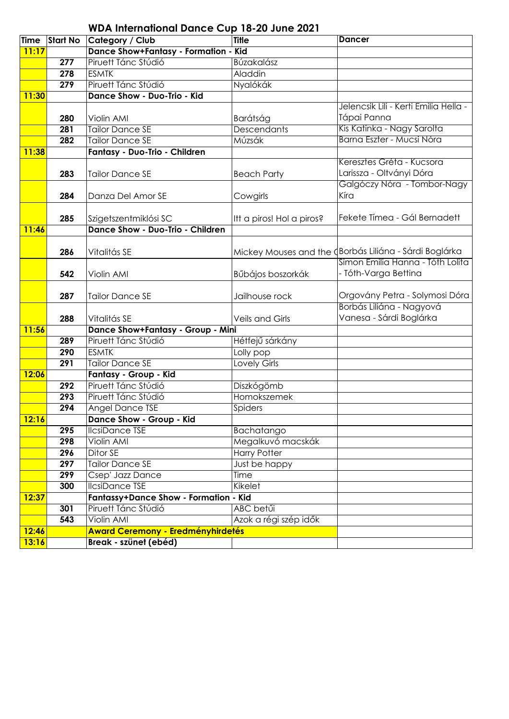|             |                 | <b>WDA International Dance Cup 18-20 June 2021</b> |                           |                                                          |
|-------------|-----------------|----------------------------------------------------|---------------------------|----------------------------------------------------------|
| <b>Time</b> | <b>Start No</b> | Category / Club                                    | <b>Title</b>              | <b>Dancer</b>                                            |
| 11:17       |                 | Dance Show+Fantasy - Formation - Kid               |                           |                                                          |
|             | 277             | Piruett Tánc Stúdió                                | Búzakalász                |                                                          |
|             | 278             | <b>ESMTK</b>                                       | Aladdin                   |                                                          |
|             | 279             | Piruett Tánc Stúdió                                | Nyalókák                  |                                                          |
| 11:30       |                 | Dance Show - Duo-Trio - Kid                        |                           |                                                          |
|             |                 |                                                    |                           | Jelencsik Lili - Kerti Emilia Hella -                    |
|             | 280             | Violin AMI                                         | Barátság                  | Tápai Panna                                              |
|             | 281             | <b>Tailor Dance SE</b>                             | Descendants               | Kis Katinka - Nagy Sarolta                               |
|             | 282             | <b>Tailor Dance SE</b>                             | Múzsák                    | Barna Eszter - Mucsi Nóra                                |
| 11:38       |                 | Fantasy - Duo-Trio - Children                      |                           |                                                          |
|             | 283             | <b>Tailor Dance SE</b>                             | <b>Beach Party</b>        | Keresztes Gréta - Kucsora<br>Larissza - Oltványi Dóra    |
|             | 284             | Danza Del Amor SE                                  | Cowgirls                  | Galgóczy Nóra - Tombor-Nagy<br>Kíra                      |
|             | 285             | Szigetszentmiklósi SC                              | Itt a piros! Hol a piros? | Fekete Tímea - Gál Bernadett                             |
| 11:46       |                 | <b>Dance Show - Duo-Trio - Children</b>            |                           |                                                          |
|             | 286             | Vitalitás SE                                       |                           | Mickey Mouses and the (Borbás Liliána - Sárdi Boglárka   |
|             | 542             | Violin AMI                                         | Bűbájos boszorkák         | Simon Emilia Hanna - Tóth Lolita<br>- Tóth-Varga Bettina |
|             | 287             | <b>Tailor Dance SE</b>                             | Jailhouse rock            | Orgovány Petra - Solymosi Dóra                           |
|             |                 |                                                    |                           | Borbás Liliána - Nagyová                                 |
|             | 288             | Vitalitás SE                                       | <b>Veils and Girls</b>    | Vanesa - Sárdi Boglárka                                  |
| 11:56       |                 | Dance Show+Fantasy - Group - Mini                  |                           |                                                          |
|             | 289             | Piruett Tánc Stúdió                                | Hétfejű sárkány           |                                                          |
|             | 290             | <b>ESMTK</b>                                       | Lolly pop                 |                                                          |
|             | 291             | <b>Tailor Dance SE</b>                             | <b>Lovely Girls</b>       |                                                          |
| 12:06       |                 | Fantasy - Group - Kid                              |                           |                                                          |
|             | 292             | Piruett Tánc Stúdió                                | Diszkógömb                |                                                          |
|             | 293             | Piruett Tánc Stúdió                                | Homokszemek               |                                                          |
|             | 294             | Angel Dance TSE                                    | Spiders                   |                                                          |
| 12:16       |                 | Dance Show - Group - Kid                           |                           |                                                          |
|             | 295             | <b>IlcsiDance TSE</b>                              | Bachatango                |                                                          |
|             | 298             | Violin AMI                                         | Megalkuvó macskák         |                                                          |
|             | 296             | Ditor <sub>SE</sub>                                | <b>Harry Potter</b>       |                                                          |
|             | 297             | <b>Tailor Dance SE</b>                             | Just be happy             |                                                          |
|             | 299             | Csep' Jazz Dance                                   | Time                      |                                                          |
|             | 300             | <b>IlcsiDance TSE</b>                              | Kikelet                   |                                                          |
| 12:37       |                 | <b>Fantassy+Dance Show - Formation - Kid</b>       |                           |                                                          |
|             | 301             | Piruett Tánc Stúdió                                | ABC betűi                 |                                                          |
|             | 543             | Violin AMI                                         | Azok a régi szép idők     |                                                          |
| 12:46       |                 | <b>Award Ceremony - Eredményhirdetés</b>           |                           |                                                          |
| 13:16       |                 | Break - szünet (ebéd)                              |                           |                                                          |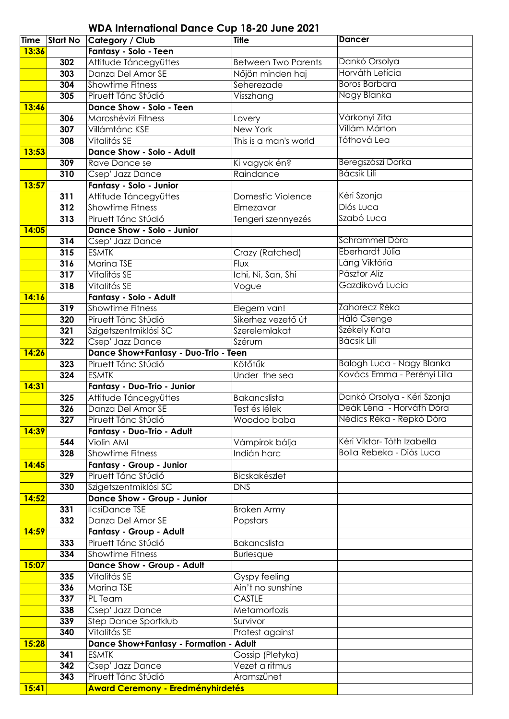| <b>Time</b> | <b>Start No</b> | Category / Club                               | <b>Title</b>                      | <b>Dancer</b>               |
|-------------|-----------------|-----------------------------------------------|-----------------------------------|-----------------------------|
| 13:36       |                 | <b>Fantasy - Solo - Teen</b>                  |                                   |                             |
|             | 302             | Attitude Táncegyüttes                         | <b>Between Two Parents</b>        | Dankó Orsolya               |
|             | 303             | Danza Del Amor SE                             | Nőjön minden haj                  | Horváth Letícia             |
|             | 304             | <b>Showtime Fitness</b>                       | Seherezade                        | <b>Boros Barbara</b>        |
|             | 305             | Piruett Tánc Stúdió                           | Visszhang                         | Nagy Blanka                 |
| 13:46       |                 | Dance Show - Solo - Teen                      |                                   |                             |
|             | 306             | Maroshévizi Fitness                           | Lovery                            | Várkonyi Zita               |
|             | 307             | Villámtánc KSE                                | New York                          | Villám Márton               |
|             | 308             | Vitalitás SE                                  | This is a man's world             | Tóthová Lea                 |
| 13:53       |                 | <b>Dance Show - Solo - Adult</b>              |                                   |                             |
|             | 309             | Rave Dance se                                 | Ki vagyok én?                     | Beregszászi Dorka           |
|             | 310             | Csep' Jazz Dance                              | Raindance                         | <b>Bácsik Lili</b>          |
| 13:57       |                 | Fantasy - Solo - Junior                       |                                   |                             |
|             | 311             | Attitude Táncegyüttes                         | Domestic Violence                 | Kéri Szonja                 |
|             | 312             | <b>Showtime Fitness</b>                       | Elmezavar                         | Diós Luca                   |
|             | 313             | Piruett Tánc Stúdió                           | Tengeri szennyezés                | Szabó Luca                  |
| 14:05       |                 | Dance Show - Solo - Junior                    |                                   |                             |
|             | 314             | Csep' Jazz Dance                              |                                   | Schrammel Dóra              |
|             | 315             | <b>ESMTK</b>                                  | Crazy (Ratched)                   | Eberhardt Júlia             |
|             |                 | Marina TSE                                    |                                   | Láng Viktória               |
|             | 316             | Vitalitás SE                                  | <b>Flux</b><br>Ichi, Ni, San, Shi | Pásztor Alíz                |
|             | 317             |                                               |                                   | Gazdiková Lucia             |
|             | 318             | Vitalitás SE                                  | Vogue                             |                             |
| 14:16       |                 | Fantasy - Solo - Adult                        |                                   | Zahorecz Réka               |
|             | 319             | <b>Showtime Fitness</b>                       | Elegem van!                       |                             |
|             | 320             | Piruett Tánc Stúdió                           | Sikerhez vezető út                | Háló Csenge<br>Székely Kata |
|             | 321             | Szigetszentmiklósi SC                         | Szerelemlakat                     | <b>Bácsik Lili</b>          |
|             | 322             | Csep' Jazz Dance                              | Szérum                            |                             |
| 14:26       |                 | Dance Show+Fantasy - Duo-Trio - Teen          |                                   |                             |
|             | 323             | Piruett Tánc Stúdió                           | Kötőtűk                           | Balogh Luca - Nagy Blanka   |
|             | 324             | <b>ESMTK</b>                                  | Under the sea                     | Kovács Emma - Perényi Lilla |
| 14:31       |                 | Fantasy - Duo-Trio - Junior                   |                                   |                             |
|             | 325             | Attitude Táncegyüttes                         | <b>Bakancslista</b>               | Dankó Orsolya - Kéri Szonja |
|             | 326             | Danza Del Amor SE                             | Test és lélek                     | Deák Léna - Horváth Dóra    |
|             | 327             | Piruett Tánc Stúdió                           | Woodoo baba                       | Nédics Réka - Repkó Dóra    |
| 14:39       |                 | Fantasy - Duo-Trio - Adult                    |                                   |                             |
|             | 544             | <b>Violin AMI</b>                             | Vámpírok bálja                    | Kéri Viktor-Tóth Izabella   |
|             | 328             | Showtime Fitness                              | Indián harc                       | Bolla Rebeka - Diós Luca    |
| 14:45       |                 | Fantasy - Group - Junior                      |                                   |                             |
|             | 329             | Piruett Tánc Stúdió                           | Bicskakészlet                     |                             |
|             | 330             | Szigetszentmiklósi SC                         | <b>DNS</b>                        |                             |
| 14:52       |                 | Dance Show - Group - Junior                   |                                   |                             |
|             | 331             | <b>IlcsiDance TSE</b>                         | <b>Broken Army</b>                |                             |
|             | 332             | Danza Del Amor SE                             | Popstars                          |                             |
| 14:59       |                 | <b>Fantasy - Group - Adult</b>                |                                   |                             |
|             | 333             | Piruett Tánc Stúdió                           | Bakancslista                      |                             |
|             | 334             | <b>Showtime Fitness</b>                       | <b>Burlesque</b>                  |                             |
| 15:07       |                 | Dance Show - Group - Adult                    |                                   |                             |
|             | 335             | Vitalitás SE                                  | Gyspy feeling                     |                             |
|             | 336             | Marina TSE                                    | Ain't no sunshine                 |                             |
|             | 337             | PL Team                                       | <b>CASTLE</b>                     |                             |
|             | 338             | Csep' Jazz Dance                              | Metamorfozis                      |                             |
|             | 339             | Step Dance Sportklub                          | Survivor                          |                             |
|             | 340             | Vitalitás SE                                  | Protest against                   |                             |
| 15:28       |                 | <b>Dance Show+Fantasy - Formation - Adult</b> |                                   |                             |
|             | 341             | <b>ESMTK</b>                                  | Gossip (Pletyka)                  |                             |
|             | 342             | Csep' Jazz Dance                              | Vezet a ritmus                    |                             |
|             | 343             | Piruett Tánc Stúdió                           | Áramszünet                        |                             |
| 15:41       |                 | <b>Award Ceremony - Eredményhirdetés</b>      |                                   |                             |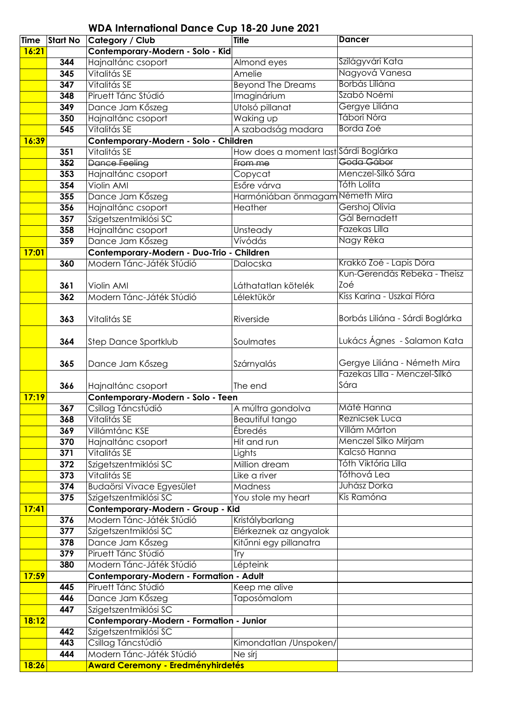| <b>Time</b>  | <b>Start No</b> | Category / Club                           | <b>Title</b>                          | <b>Dancer</b>                   |
|--------------|-----------------|-------------------------------------------|---------------------------------------|---------------------------------|
| 16:21        |                 | Contemporary-Modern - Solo - Kid          |                                       |                                 |
|              | 344             | Hajnaltánc csoport                        | Almond eyes                           | Szilágyvári Kata                |
|              | 345             | Vitalitás SE                              | Amelie                                | Nagyová Vanesa                  |
|              | 347             | Vitalitás SE                              | <b>Beyond The Dreams</b>              | Borbás Liliána                  |
|              | 348             | Piruett Tánc Stúdió                       | Imaginárium                           | Szabó Noémi                     |
|              | 349             | Dance Jam Kőszeg                          | Utolsó pillanat                       | Gergye Liliána                  |
|              | 350             | Hajnaltánc csoport                        | Waking up                             | Tábori Nóra                     |
|              | 545             | Vitalitás SE                              | A szabadság madara                    | Borda Zoé                       |
| 16:39        |                 | Contemporary-Modern - Solo - Children     |                                       |                                 |
|              | 351             | Vitalitás SE                              | How does a moment last Sárdi Boglárka |                                 |
|              | 352             | <b>Dance Feeling</b>                      | From me                               | Goda Gábor                      |
|              | 353             | Hajnaltánc csoport                        | Copycat                               | Menczel-Silkó Sára              |
|              | 354             | Violin AMI                                | Esőre várva                           | Tóth Lolita                     |
|              | 355             | Dance Jam Kőszeg                          | Harmóniában önmagam Németh Mira       |                                 |
|              | 356             | Hajnaltánc csoport                        | Heather                               | Gershoj Olivia                  |
|              | 357             | Szigetszentmiklósi SC                     |                                       | Gál Bernadett                   |
|              | 358             | Hajnaltánc csoport                        | Unsteady                              | <b>Fazekas Lilla</b>            |
|              | 359             | Dance Jam Kőszeg                          | Vívódás                               | Nagy Réka                       |
| <b>17:01</b> |                 | Contemporary-Modern - Duo-Trio - Children |                                       |                                 |
|              | 360             | Modern Tánc-Játék Stúdió                  | Dalocska                              | Krakkó Zoé - Lapis Dóra         |
|              |                 |                                           |                                       | Kun-Gerendás Rebeka - Theisz    |
|              | 361             | Violin AMI                                | Láthatatlan kötelék                   | Zoé                             |
|              | 362             | Modern Tánc-Játék Stúdió                  | Lélektükör                            | Kiss Karina - Uszkai Flóra      |
|              |                 |                                           |                                       |                                 |
|              | 363             | Vitalitás SE                              | Riverside                             | Borbás Liliána - Sárdi Boglárka |
|              |                 |                                           |                                       |                                 |
|              | 364             | Step Dance Sportklub                      | Soulmates                             | Lukács Ágnes - Salamon Kata     |
|              |                 |                                           |                                       |                                 |
|              | 365             | Dance Jam Kőszeg                          | Szárnyalás                            | Gergye Liliána - Németh Mira    |
|              |                 |                                           |                                       | Fazekas Lilla - Menczel-Silkó   |
|              | 366             | Hajnaltánc csoport                        | The end                               | Sára                            |
| 17:19        |                 | Contemporary-Modern - Solo - Teen         |                                       | Máté Hanna                      |
|              | 367             | Csillag Táncstúdió                        | A múltra gondolva                     | <b>Reznicsek Luca</b>           |
|              | 368             | Vitalitás SE<br>Villámtánc KSE            | Beautiful tango<br><b>Ébredés</b>     | Villám Márton                   |
|              | 369<br>370      | Hajnaltánc csoport                        | Hit and run                           | Menczel Silko Mirjam            |
|              | 371             | Vitalitás SE                              | Lights                                | Kalcsó Hanna                    |
|              | 372             | Szigetszentmiklósi SC                     | Million dream                         | Tóth Viktória Lilla             |
|              | 373             | Vitalitás SE                              | Like a river                          | Tóthová Lea                     |
|              | 374             | <b>Budaörsi Vivace Egyesület</b>          | Madness                               | Juhász Dorka                    |
|              | 375             | Szigetszentmiklósi SC                     | You stole my heart                    | Kis Ramóna                      |
| 17:41        |                 | Contemporary-Modern - Group - Kid         |                                       |                                 |
|              | 376             | Modern Tánc-Játék Stúdió                  | Kristálybarlang                       |                                 |
|              | 377             | Szigetszentmiklósi SC                     | Elérkeznek az angyalok                |                                 |
|              | 378             | Dance Jam Kőszeg                          | Kitűnni egy pillanatra                |                                 |
|              | 379             | Piruett Tánc Stúdió                       | Try                                   |                                 |
|              | 380             | Modern Tánc-Játék Stúdió                  | Lépteink                              |                                 |
| 17:59        |                 | Contemporary-Modern - Formation - Adult   |                                       |                                 |
|              | 445             | Piruett Tánc Stúdió                       | Keep me alive                         |                                 |
|              | 446             | Dance Jam Kőszeg                          | Taposómalom                           |                                 |
|              | 447             | Szigetszentmiklósi SC                     |                                       |                                 |
| 18:12        |                 | Contemporary-Modern - Formation - Junior  |                                       |                                 |
|              | 442             | Szigetszentmiklósi SC                     |                                       |                                 |
|              | 443             | Csillag Táncstúdió                        | Kimondatlan / Unspoken/               |                                 |
|              | 444             | Modern Tánc-Játék Stúdió                  | Ne sírj                               |                                 |
| 18:26        |                 | <b>Award Ceremony - Eredményhirdetés</b>  |                                       |                                 |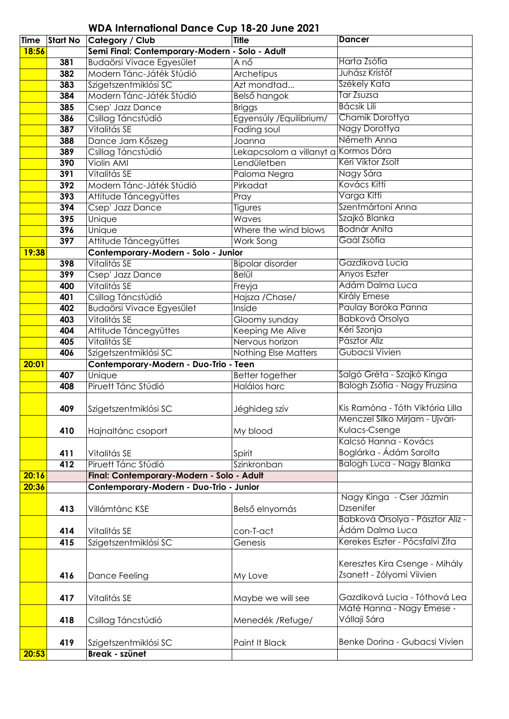| Time  | <b>Start No</b> | Category / Club                                | <b>Title</b>             | <b>Dancer</b>                    |
|-------|-----------------|------------------------------------------------|--------------------------|----------------------------------|
| 18:56 |                 | Semi Final: Contemporary-Modern - Solo - Adult |                          |                                  |
|       | 381             | Budaörsi Vivace Egyesület                      | A nő                     | Harta Zsófia                     |
|       | 382             | Modern Tánc-Játék Stúdió                       | Archetipus               | Juhász Kristóf                   |
|       | 383             | Szigetszentmiklósi SC                          | Azt mondtad              | Székely Kata                     |
|       | 384             | Modern Tánc-Játék Stúdió                       | Belső hangok             | <b>Tar Zsuzsa</b>                |
|       | 385             | Csep' Jazz Dance                               | <b>Briggs</b>            | <b>Bácsik Lili</b>               |
|       | 386             | Csillag Táncstúdió                             | Egyensúly / Equilibrium/ | Chamik Dorottya                  |
|       | 387             | Vitalitás SE                                   | Fading soul              | Nagy Dorottya                    |
|       | 388             | Dance Jam Kőszeg                               | Joanna                   | Németh Anna                      |
|       | 389             | Csillag Táncstúdió                             | Lekapcsolom a villanyt a | Kormos Dóra                      |
|       | 390             | <b>Violin AMI</b>                              | Lendületben              | Kéri Viktor Zsolt                |
|       | 391             | Vitalitás SE                                   | Paloma Negra             | Nagy Sára                        |
|       | 392             | Modern Tánc-Játék Stúdió                       | Pirkadat                 | Kovács Kitti                     |
|       | 393             | Attitude Táncegyüttes                          | Pray                     | Varga Kitti                      |
|       | 394             | Csep' Jazz Dance                               | Tigures                  | Szentmártoni Anna                |
|       | 395             | Unique                                         | Waves                    | Szajkó Blanka                    |
|       | 396             | Unique                                         | Where the wind blows     | <b>Bodnár Anita</b>              |
|       | 397             | Attitude Táncegyüttes                          | Work Song                | Gaál Zsófia                      |
| 19:38 |                 | Contemporary-Modern - Solo - Junior            |                          |                                  |
|       | 398             | Vitalitás SE                                   | <b>Bipolar disorder</b>  | Gazdiková Lucia                  |
|       | 399             | Csep' Jazz Dance                               | Belül                    | <b>Anyos Eszter</b>              |
|       | 400             | Vitalitás SE                                   | Freyja                   | Adám Dalma Luca                  |
|       | 401             | Csillag Táncstúdió                             | Hajsza / Chase/          | <b>Király Emese</b>              |
|       | 402             | <b>Budaörsi Vivace Egyesület</b>               | Inside                   | Paulay Boróka Panna              |
|       | 403             | Vitalitás SE                                   | Gloomy sunday            | <b>Babková Orsolya</b>           |
|       | 404             | Attitude Táncegyüttes                          | Keeping Me Alive         | Kéri Szonja                      |
|       | 405             | Vitalitás SE                                   | Nervous horizon          | Pásztor Alíz                     |
|       | 406             | Szigetszentmiklósi SC                          | Nothing Else Matters     | <b>Gubacsi Vivien</b>            |
| 20:01 |                 | Contemporary-Modern - Duo-Trio - Teen          |                          |                                  |
|       | 407             | Unique                                         | Better together          | Salgó Gréta - Szajkó Kinga       |
|       | 408             | Piruett Tánc Stúdió                            | Halálos harc             | Balogh Zsófia - Nagy Fruzsina    |
|       |                 |                                                |                          |                                  |
|       | 409             | Szigetszentmiklósi SC                          | Jéghideg szív            | Kis Ramóna - Tóth Viktória Lilla |
|       |                 |                                                |                          | Menczel Silko Mirjam - Ujvári-   |
|       | 410             | Hajnaltánc csoport                             | My blood                 | Kulacs-Csenge                    |
|       |                 |                                                |                          | Kalcsó Hanna - Kovács            |
|       | 411             | Vitalitás SE                                   | Spirit                   | Boglárka - Ádám Sarolta          |
|       | 412             | Piruett Tánc Stúdió                            | Szinkronban              | Balogh Luca - Nagy Blanka        |
| 20:16 |                 | Final: Contemporary-Modern - Solo - Adult      |                          |                                  |
| 20:36 |                 | Contemporary-Modern - Duo-Trio - Junior        |                          |                                  |
|       |                 |                                                |                          | Nagy Kinga - Cser Jázmin         |
|       | 413             | Villámtánc KSE                                 | Belső elnyomás           | Dzsenifer                        |
|       |                 |                                                |                          | Babková Orsolya - Pásztor Alíz - |
|       | 414             | Vitalitás SE                                   | con-T-act                | Ádám Dalma Luca                  |
|       | 415             | Szigetszentmiklósi SC                          | Genesis                  | Kerekes Eszter - Pócsfalvi Zita  |
|       |                 |                                                |                          |                                  |
|       |                 |                                                |                          | Keresztes Kíra Csenge - Mihály   |
|       | 416             | Dance Feeling                                  | My Love                  | Zsanett - Zólyomi Viivien        |
|       |                 |                                                |                          |                                  |
|       | 417             | Vitalitás SE                                   | Maybe we will see        | Gazdiková Lucia - Tóthová Lea    |
|       |                 |                                                |                          | Máté Hanna - Nagy Emese -        |
|       | 418             | Csillag Táncstúdió                             | Menedék / Refuge/        | Vállaji Sára                     |
|       |                 |                                                |                          |                                  |
|       | 419             | Szigetszentmiklósi SC                          | Paint It Black           | Benke Dorina - Gubacsi Vivien    |
| 20:53 |                 | <b>Break - szünet</b>                          |                          |                                  |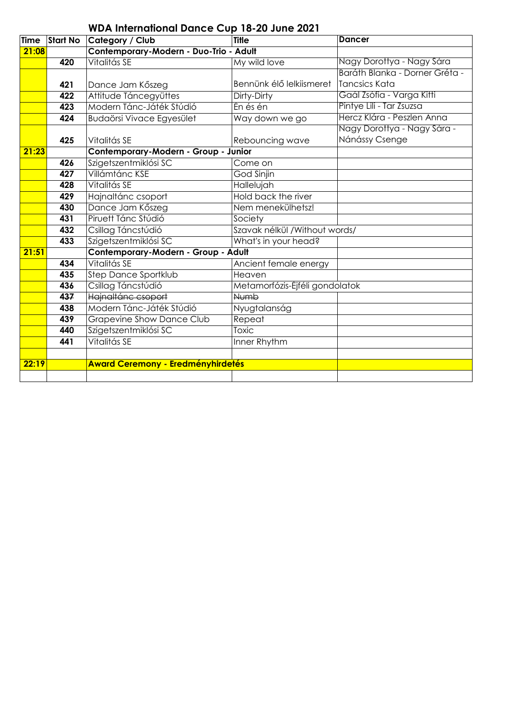|             |                  | <b>WDA International Dance Cup 18-20 June 2021</b> |                                |                                |
|-------------|------------------|----------------------------------------------------|--------------------------------|--------------------------------|
| <b>Time</b> | <b>Start No</b>  | <b>Category / Club</b>                             | <b>Title</b>                   | <b>Dancer</b>                  |
| 21:08       |                  | Contemporary-Modern - Duo-Trio - Adult             |                                |                                |
|             | 420              | Vitalitás SE                                       | My wild love                   | Nagy Dorottya - Nagy Sára      |
|             |                  |                                                    |                                | Baráth Blanka - Dorner Gréta - |
|             | 421              | Dance Jam Kőszeg                                   | Bennünk élő lelkiismeret       | Tancsics Kata                  |
|             | $\overline{422}$ | Attitude Táncegyüttes                              | Dirty-Dirty                    | Gaál Zsófia - Varga Kitti      |
|             | 423              | Modern Tánc-Játék Stúdió                           | Én és én                       | Pintye Lili - Tar Zsuzsa       |
|             | 424              | Budaörsi Vivace Egyesület                          | Way down we go                 | Hercz Klára - Peszlen Anna     |
|             |                  |                                                    |                                | Nagy Dorottya - Nagy Sára -    |
|             | 425              | Vitalitás SE                                       | Rebouncing wave                | Nánássy Csenge                 |
| 21:23       |                  | Contemporary-Modern - Group - Junior               |                                |                                |
|             | 426              | Szigetszentmiklósi SC                              | Come on                        |                                |
|             | 427              | Villámtánc KSE                                     | God Sinjin                     |                                |
|             | 428              | Vitalitás SE                                       | Hallelujah                     |                                |
|             | 429              | Hajnaltánc csoport                                 | Hold back the river            |                                |
|             | 430              | Dance Jam Kőszeg                                   | Nem menekülhetsz!              |                                |
|             | 431              | Piruett Tánc Stúdió                                | Society                        |                                |
|             | 432              | Csillag Táncstúdió                                 | Szavak nélkül / Without words/ |                                |
|             | 433              | Szigetszentmiklósi SC                              | What's in your head?           |                                |
| 21:51       |                  | Contemporary-Modern - Group - Adult                |                                |                                |
|             | 434              | Vitalitás SE                                       | Ancient female energy          |                                |
|             | 435              | <b>Step Dance Sportklub</b>                        | Heaven                         |                                |
|             | 436              | Csillag Táncstúdió                                 | Metamorfózis-Éjféli gondolatok |                                |
|             | 437              | Hajnaltánc csoport                                 | <b>Numb</b>                    |                                |
|             | 438              | Modern Tánc-Játék Stúdió                           | Nyugtalanság                   |                                |
|             | 439              | Grapevine Show Dance Club                          | Repeat                         |                                |
|             | 440              | Szigetszentmiklósi SC                              | Toxic                          |                                |
|             | 441              | Vitalitás SE                                       | Inner Rhythm                   |                                |
|             |                  |                                                    |                                |                                |
| 22:19       |                  | <b>Award Ceremony - Eredményhirdetés</b>           |                                |                                |
|             |                  |                                                    |                                |                                |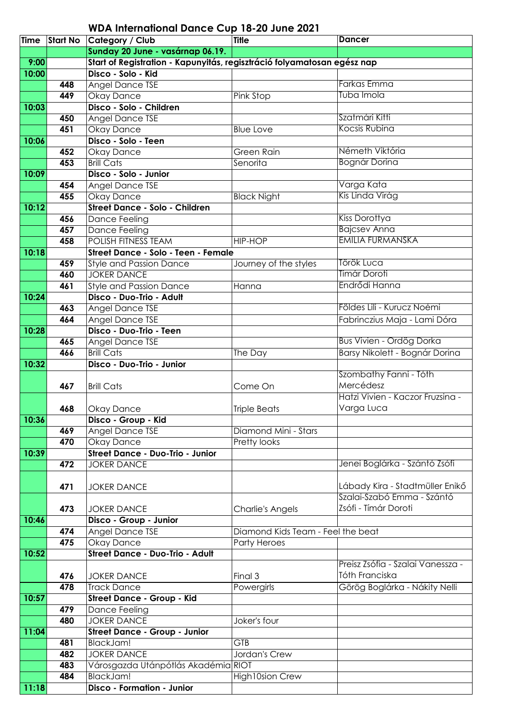|       | Time Start No | Category / Club                                                         | <b>Title</b>                      | <b>Dancer</b>                     |
|-------|---------------|-------------------------------------------------------------------------|-----------------------------------|-----------------------------------|
|       |               | Sunday 20 June - vasárnap 06.19.                                        |                                   |                                   |
| 9:00  |               | Start of Registration - Kapunyitás, regisztráció folyamatosan egész nap |                                   |                                   |
| 10:00 |               | Disco - Solo - Kid                                                      |                                   |                                   |
|       | 448           | Angel Dance TSE                                                         |                                   | <b>Farkas Emma</b>                |
|       | 449           | Okay Dance                                                              | Pink Stop                         | Tuba Imola                        |
| 10:03 |               | Disco - Solo - Children                                                 |                                   |                                   |
|       | 450           | <b>Angel Dance TSE</b>                                                  |                                   | Szatmári Kitti                    |
|       | 451           | <b>Okay Dance</b>                                                       | <b>Blue Love</b>                  | Kocsis Rubina                     |
| 10:06 |               | Disco - Solo - Teen                                                     |                                   |                                   |
|       | 452           | <b>Okay Dance</b>                                                       | Green Rain                        | Németh Viktória                   |
|       | 453           | <b>Brill Cats</b>                                                       | Senorita                          | <b>Bognár Dorina</b>              |
| 10:09 |               | Disco - Solo - Junior                                                   |                                   |                                   |
|       | 454           | Angel Dance TSE                                                         |                                   | Varga Kata                        |
|       | 455           | Okay Dance                                                              | <b>Black Night</b>                | Kis Linda Virág                   |
| 10:12 |               | Street Dance - Solo - Children                                          |                                   |                                   |
|       | 456           | Dance Feeling                                                           |                                   | Kiss Dorottya                     |
|       | 457           | <b>Dance Feeling</b>                                                    |                                   | <b>Bajcsev Anna</b>               |
|       | 458           | <b>POLISH FITNESS TEAM</b>                                              | <b>HIP-HOP</b>                    | <b>EMILIA FURMANSKA</b>           |
| 10:18 |               | Street Dance - Solo - Teen - Female                                     |                                   |                                   |
|       | 459           | <b>Style and Passion Dance</b>                                          | Journey of the styles             | Török Luca                        |
|       | 460           | <b>JOKER DANCE</b>                                                      |                                   | Tímár Doroti                      |
|       | 461           | <b>Style and Passion Dance</b>                                          | Hanna                             | Endrődi Hanna                     |
| 10:24 |               | Disco - Duo-Trio - Adult                                                |                                   |                                   |
|       | 463           | Angel Dance TSE                                                         |                                   | Földes Lili - Kurucz Noémi        |
|       | 464           | <b>Angel Dance TSE</b>                                                  |                                   | Fabrinczius Maja - Lami Dóra      |
| 10:28 |               | Disco - Duo-Trio - Teen                                                 |                                   |                                   |
|       | 465           | Angel Dance TSE                                                         |                                   | <b>Bus Vivien - Ordög Dorka</b>   |
|       | 466           | <b>Brill Cats</b>                                                       | The Day                           | Barsy Nikolett - Bognár Dorina    |
| 10:32 |               | Disco - Duo-Trio - Junior                                               |                                   |                                   |
|       |               |                                                                         |                                   | Szombathy Fanni - Tóth            |
|       | 467           | <b>Brill Cats</b>                                                       | Come On                           | Mercédesz                         |
|       |               |                                                                         |                                   | Hatzi Vivien - Kaczor Fruzsina -  |
|       | 468           | Okay Dance                                                              | <b>Triple Beats</b>               | Varga Luca                        |
| 10:36 |               | Disco - Group - Kid                                                     |                                   |                                   |
|       | 469           | Angel Dance TSE                                                         | Diamond Mini - Stars              |                                   |
|       | 470           | <b>Okay Dance</b>                                                       | Pretty looks                      |                                   |
| 10:39 |               | <b>Street Dance - Duo-Trio - Junior</b>                                 |                                   |                                   |
|       | 472           | <b>JOKER DANCE</b>                                                      |                                   | Jenei Boglárka - Szántó Zsófi     |
|       |               |                                                                         |                                   |                                   |
|       | 471           | <b>JOKER DANCE</b>                                                      |                                   | Lábady Kira - Stadtmüller Enikő   |
|       |               |                                                                         |                                   | Szalai-Szabó Emma - Szántó        |
|       | 473           | <b>JOKER DANCE</b>                                                      | <b>Charlie's Angels</b>           | Zsófi - Tímár Doroti              |
| 10:46 |               | Disco - Group - Junior                                                  |                                   |                                   |
|       | 474           | Angel Dance TSE                                                         | Diamond Kids Team - Feel the beat |                                   |
|       | 475           | Okay Dance                                                              | <b>Party Heroes</b>               |                                   |
| 10:52 |               | <b>Street Dance - Duo-Trio - Adult</b>                                  |                                   |                                   |
|       |               |                                                                         |                                   | Preisz Zsófia - Szalai Vanessza - |
|       | 476           | <b>JOKER DANCE</b>                                                      | Final 3                           | Tóth Franciska                    |
|       | 478           | <b>Track Dance</b>                                                      | Powergirls                        | Görög Boglárka - Nákity Nelli     |
| 10:57 |               | Street Dance - Group - Kid                                              |                                   |                                   |
|       | 479           | Dance Feeling                                                           |                                   |                                   |
|       | 480           | <b>JOKER DANCE</b>                                                      | Joker's four                      |                                   |
| 11:04 |               | <b>Street Dance - Group - Junior</b>                                    |                                   |                                   |
|       | 481           | BlackJam!                                                               | <b>GTB</b>                        |                                   |
|       | 482           | <b>JOKER DANCE</b>                                                      | Jordan's Crew                     |                                   |
|       | 483           | Városgazda Utánpótlás Akadémia RIOT                                     |                                   |                                   |
|       | 484           | BlackJam!                                                               | High10sion Crew                   |                                   |
| 11:18 |               | Disco - Formation - Junior                                              |                                   |                                   |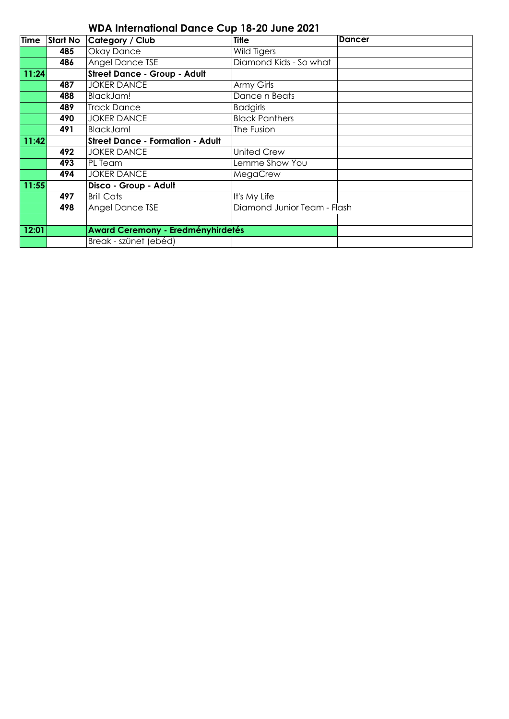| WDA International Dance Cup To-20 June 2021 |          |                                          |                             |               |  |  |
|---------------------------------------------|----------|------------------------------------------|-----------------------------|---------------|--|--|
| <b>Time</b>                                 | Start No | Category / Club                          | <b>Title</b>                | <b>Dancer</b> |  |  |
|                                             | 485      | Okay Dance                               | Wild Tigers                 |               |  |  |
|                                             | 486      | <b>Angel Dance TSE</b>                   | Diamond Kids - So what      |               |  |  |
| 11:24                                       |          | <b>Street Dance - Group - Adult</b>      |                             |               |  |  |
|                                             | 487      | <b>JOKER DANCE</b>                       | Army Girls                  |               |  |  |
|                                             | 488      | BlackJam!                                | Dance n Beats               |               |  |  |
|                                             | 489      | <b>Track Dance</b>                       | <b>Badgirls</b>             |               |  |  |
|                                             | 490      | <b>JOKER DANCE</b>                       | <b>Black Panthers</b>       |               |  |  |
|                                             | 491      | BlackJam!                                | The Fusion                  |               |  |  |
| 11:42                                       |          | <b>Street Dance - Formation - Adult</b>  |                             |               |  |  |
|                                             | 492      | <b>JOKER DANCE</b>                       | <b>United Crew</b>          |               |  |  |
|                                             | 493      | PL Team                                  | Lemme Show You              |               |  |  |
|                                             | 494      | <b>JOKER DANCE</b>                       | MegaCrew                    |               |  |  |
| 11:55                                       |          | Disco - Group - Adult                    |                             |               |  |  |
|                                             | 497      | <b>Brill Cats</b>                        | It's My Life                |               |  |  |
|                                             | 498      | Angel Dance TSE                          | Diamond Junior Team - Flash |               |  |  |
|                                             |          |                                          |                             |               |  |  |
| 12:01                                       |          | <b>Award Ceremony - Eredményhirdetés</b> |                             |               |  |  |
|                                             |          | Break - szünet (ebéd)                    |                             |               |  |  |